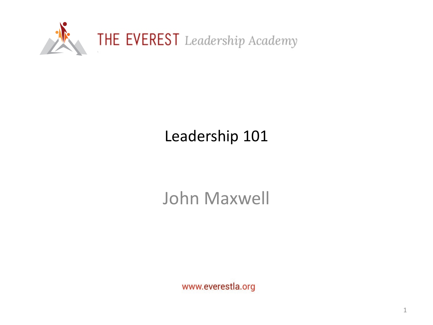

# Leadership 101

# John Maxwell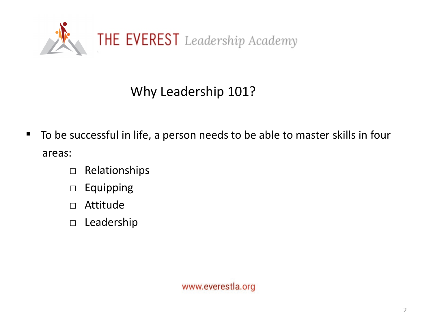

## Why Leadership 101?

- To be successful in life, a person needs to be able to master skills in four areas:
	- □ Relationships
	- □ Equipping
	- □ Attitude
	- □ Leadership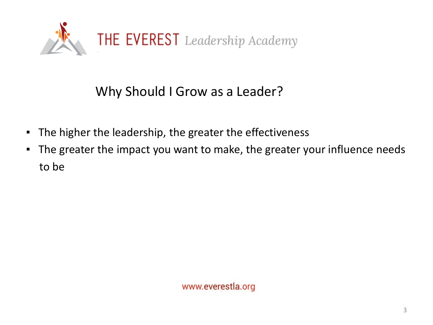

#### Why Should I Grow as a Leader?

- The higher the leadership, the greater the effectiveness
- The greater the impact you want to make, the greater your influence needs to be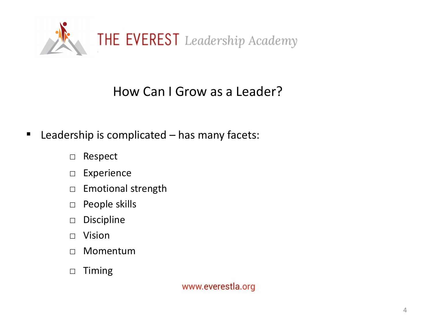

#### How Can I Grow as a Leader?

- Leadership is complicated has many facets:
	- □ Respect
	- □ Experience
	- □ Emotional strength
	- □ People skills
	- □ Discipline
	- □ Vision
	- □ Momentum
	- □ Timing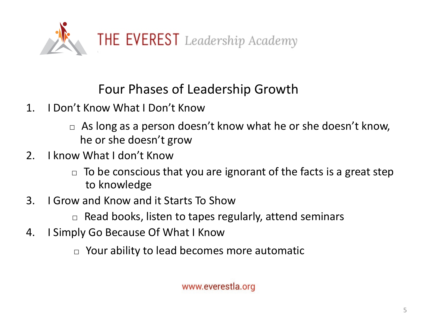

Four Phases of Leadership Growth

- 1. I Don't Know What I Don't Know
	- $\Box$  As long as a person doesn't know what he or she doesn't know, he or she doesn't grow
- 2. I know What I don't Know
	- $\Box$  To be conscious that you are ignorant of the facts is a great step to knowledge
- 3. I Grow and Know and it Starts To Show
	- $\Box$  Read books, listen to tapes regularly, attend seminars
- 4. I Simply Go Because Of What I Know
	- $\Box$  Your ability to lead becomes more automatic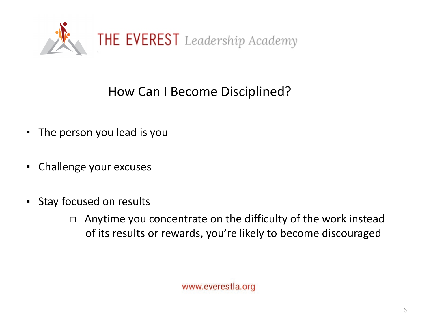

### How Can I Become Disciplined?

- The person you lead is you
- Challenge your excuses
- **EXECUTED Stay focused on results** 
	- $\Box$  Anytime you concentrate on the difficulty of the work instead of its results or rewards, you're likely to become discouraged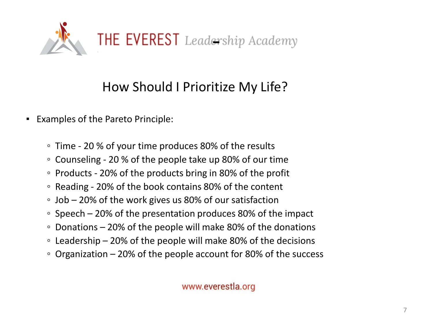

## How Should I Prioritize My Life?

- Examples of the Pareto Principle:
	- Time 20 % of your time produces 80% of the results
	- Counseling 20 % of the people take up 80% of our time
	- Products 20% of the products bring in 80% of the profit
	- Reading 20% of the book contains 80% of the content
	- Job 20% of the work gives us 80% of our satisfaction
	- Speech 20% of the presentation produces 80% of the impact
	- Donations 20% of the people will make 80% of the donations
	- Leadership 20% of the people will make 80% of the decisions
	- $\degree$  Organization 20% of the people account for 80% of the success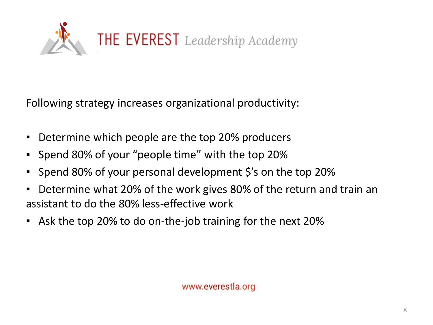

Following strategy increases organizational productivity:

- Determine which people are the top 20% producers
- Spend 80% of your "people time" with the top 20%
- Spend 80% of your personal development \$'s on the top 20%
- Determine what 20% of the work gives 80% of the return and train an assistant to do the 80% less-effective work
- Ask the top 20% to do on-the-job training for the next 20%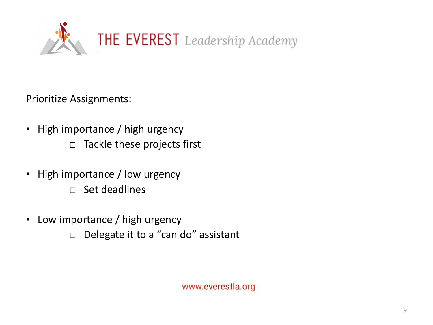

Prioritize Assignments:

- High importance / high urgency  $\Box$  Tackle these projects first
- **E** High importance / low urgency
	- □ Set deadlines
- Low importance / high urgency
	- □ Delegate it to a "can do" assistant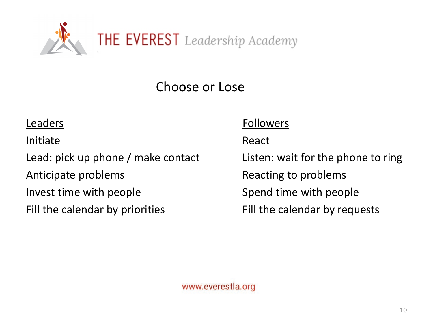

Choose or Lose

Initiate **React** 

Lead: pick up phone / make contact Listen: wait for the phone to ring Anticipate problems and all the Reacting to problems Invest time with people **Spend time with people** 

#### Leaders Followers

Fill the calendar by priorities Fill the calendar by requests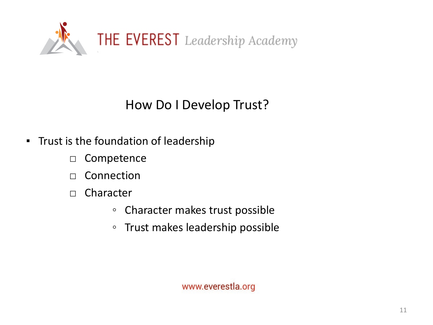

#### How Do I Develop Trust?

- **Trust is the foundation of leadership** 
	- □ Competence
	- $\Box$  Connection
	- □ Character
		- Character makes trust possible
		- Trust makes leadership possible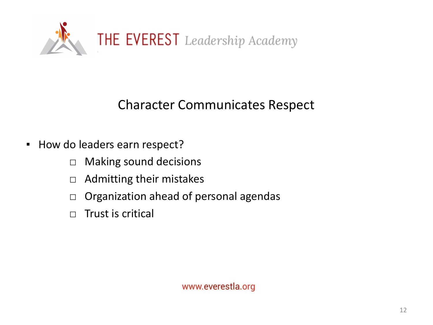

#### Character Communicates Respect

- How do leaders earn respect?
	- □ Making sound decisions
	- □ Admitting their mistakes
	- □ Organization ahead of personal agendas
	- $\Box$  Trust is critical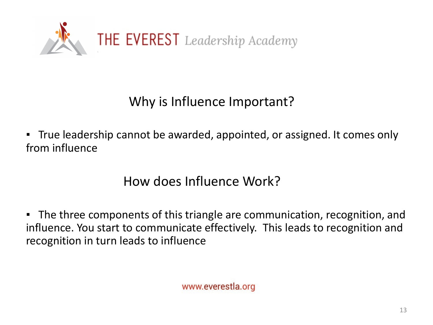

## Why is Influence Important?

▪ True leadership cannot be awarded, appointed, or assigned. It comes only from influence

How does Influence Work?

■ The three components of this triangle are communication, recognition, and influence. You start to communicate effectively. This leads to recognition and recognition in turn leads to influence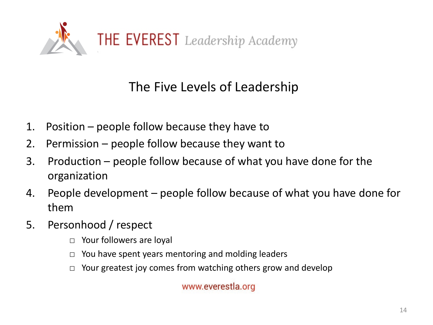

#### The Five Levels of Leadership

- 1. Position people follow because they have to
- 2. Permission people follow because they want to
- 3. Production people follow because of what you have done for the organization
- 4. People development people follow because of what you have done for them
- 5. Personhood / respect
	- □ Your followers are loyal
	- $\Box$  You have spent years mentoring and molding leaders
	- $\Box$  Your greatest joy comes from watching others grow and develop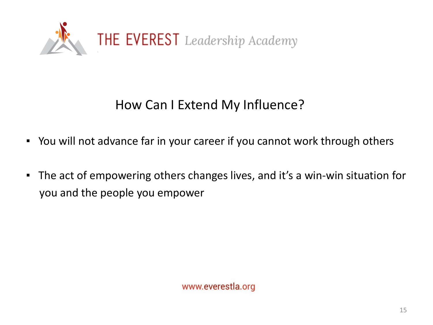

### How Can I Extend My Influence?

- You will not advance far in your career if you cannot work through others
- The act of empowering others changes lives, and it's a win-win situation for you and the people you empower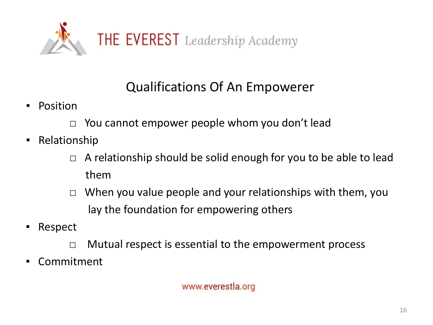

## Qualifications Of An Empowerer

- Position
	- $\Box$  You cannot empower people whom you don't lead
- Relationship
	- $\Box$  A relationship should be solid enough for you to be able to lead them
	- □ When you value people and your relationships with them, you lay the foundation for empowering others
- Respect
	- $\Box$  Mutual respect is essential to the empowerment process
- Commitment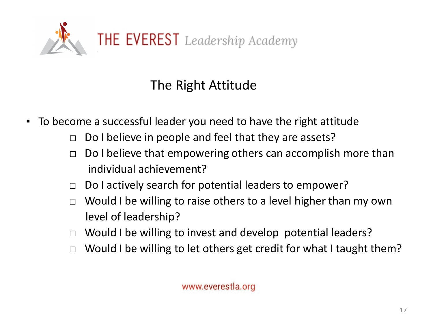

## The Right Attitude

- To become a successful leader you need to have the right attitude
	- $\Box$  Do I believe in people and feel that they are assets?
	- $\Box$  Do I believe that empowering others can accomplish more than individual achievement?
	- □ Do I actively search for potential leaders to empower?
	- $\Box$  Would I be willing to raise others to a level higher than my own level of leadership?
	- □ Would I be willing to invest and develop potential leaders?
	- $\Box$  Would I be willing to let others get credit for what I taught them?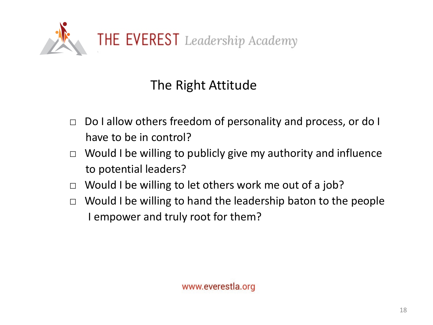

## The Right Attitude

- □ Do I allow others freedom of personality and process, or do I have to be in control?
- $\Box$  Would I be willing to publicly give my authority and influence to potential leaders?
- □ Would I be willing to let others work me out of a job?
- $\Box$  Would I be willing to hand the leadership baton to the people I empower and truly root for them?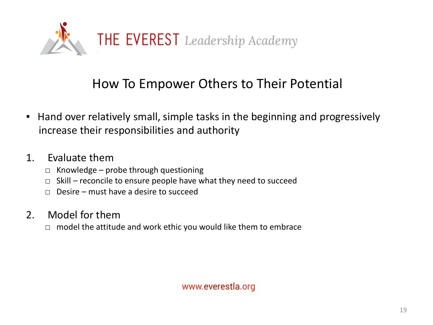

#### How To Empower Others to Their Potential

**.** Hand over relatively small, simple tasks in the beginning and progressively increase their responsibilities and authority

#### 1. Evaluate them

- $\Box$  Knowledge probe through questioning
- $\Box$  Skill reconcile to ensure people have what they need to succeed
- $\Box$  Desire must have a desire to succeed

#### 2. Model for them

 $\Box$  model the attitude and work ethic you would like them to embrace